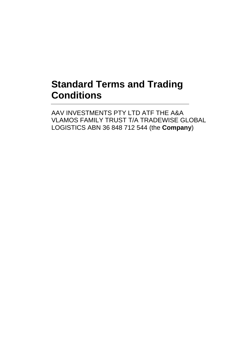# **Standard Terms and Trading Conditions**

AAV INVESTMENTS PTY LTD ATF THE A&A VLAMOS FAMILY TRUST T/A TRADEWISE GLOBAL LOGISTICS ABN 36 848 712 544 (the **Company**)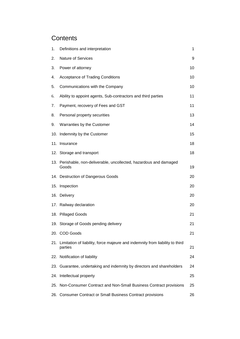# **Contents**

| 1.  | Definitions and interpretation                                                          | 1  |
|-----|-----------------------------------------------------------------------------------------|----|
| 2.  | <b>Nature of Services</b>                                                               | 9  |
| 3.  | Power of attorney                                                                       | 10 |
| 4.  | <b>Acceptance of Trading Conditions</b>                                                 | 10 |
| 5.  | Communications with the Company                                                         | 10 |
| 6.  | Ability to appoint agents, Sub-contractors and third parties                            | 11 |
| 7.  | Payment, recovery of Fees and GST                                                       | 11 |
| 8.  | Personal property securities                                                            | 13 |
| 9.  | Warranties by the Customer                                                              | 14 |
|     | 10. Indemnity by the Customer                                                           | 15 |
|     | 11. Insurance                                                                           | 18 |
|     | 12. Storage and transport                                                               | 18 |
|     | 13. Perishable, non-deliverable, uncollected, hazardous and damaged<br>Goods            | 19 |
|     | 14. Destruction of Dangerous Goods                                                      | 20 |
|     | 15. Inspection                                                                          | 20 |
|     | 16. Delivery                                                                            | 20 |
|     | 17. Railway declaration                                                                 | 20 |
|     | 18. Pillaged Goods                                                                      | 21 |
|     | 19. Storage of Goods pending delivery                                                   | 21 |
|     | 20. COD Goods                                                                           | 21 |
| 21. | Limitation of liability, force majeure and indemnity from liability to third<br>parties | 21 |
|     | 22. Notification of liability                                                           | 24 |
|     | 23. Guarantee, undertaking and indemnity by directors and shareholders                  | 24 |
|     | 24. Intellectual property                                                               | 25 |
|     | 25. Non-Consumer Contract and Non-Small Business Contract provisions                    | 25 |
|     | 26. Consumer Contract or Small Business Contract provisions                             | 26 |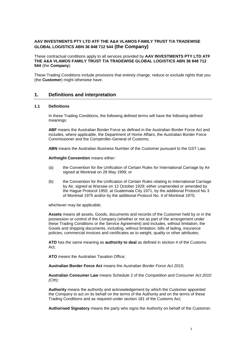#### **AAV INVESTMENTS PTY LTD ATF THE A&A VLAMOS FAMILY TRUST T/A TRADEWISE GLOBAL LOGISTICS ABN 36 848 712 544 (the Company)**

These contractual conditions apply to all services provided by **AAV INVESTMENTS PTY LTD ATF THE A&A VLAMOS FAMILY TRUST T/A TRADEWISE GLOBAL LOGISTICS ABN 36 848 712 544** (the **Company**).

These Trading Conditions include provisions that entirely change, reduce or exclude rights that you (the **Customer**) might otherwise have.

#### **1. Definitions and interpretation**

#### **1.1 Definitions**

In these Trading Conditions, the following defined terms will have the following defined meanings:

**ABF** means the Australian Border Force as defined in the Australian Border Force Act and includes, where applicable, the Department of Home Affairs, the Australian Border Force Commissioner and the Comptroller-General of Customs;

**ABN** means the Australian Business Number of the Customer pursuant to the GST Law;

**Airfreight Convention** means either:

- (a) the Convention for the Unification of Certain Rules for International Carriage by Air signed at Montreal on 28 May 1999; or
- (b) the Convention for the Unification of Certain Rules relating to International Carriage by Air, signed at Warsaw on 12 October 1929; either unamended or amended by the Hague Protocol 1955; at Guatemala City 1971, by the additional Protocol No 3 of Montreal 1975 and/or by the additional Protocol No. 4 of Montreal 1975;

whichever may be applicable;

**Assets** means all assets, Goods, documents and records of the Customer held by or in the possession or control of the Company (whether or not as part of the arrangement under these Trading Conditions or the Service Agreement) and includes, without limitation, the Goods and shipping documents, including, without limitation, bills of lading, insurance policies, commercial invoices and certificates as to weight, quality or other attributes;

**ATD** has the same meaning as **authority to deal** as defined in section 4 of the Customs Act;

**ATO** means the Australian Taxation Office;

**Australian Border Force Act** means the *Australian Border Force Act 2015;*

**Australian Consumer Law** means Schedule 2 of the *Competition and Consumer Act 2010 (Cth)*;

**Authority** means the authority and acknowledgement by which the Customer appointed the Company to act on its behalf on the terms of the Authority and on the terms of these Trading Conditions and as required under section 181 of the Customs Act;

**Authorised Signatory** means the party who signs the Authority on behalf of the Customer;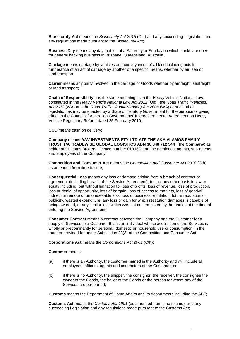**Biosecurity Act** means the *Biosecurity Act 2015* (Cth) and any succeeding Legislation and any regulations made pursuant to the Biosecurity Act;

**Business Day** means any day that is not a Saturday or Sunday on which banks are open for general banking business in Brisbane, Queensland, Australia.

**Carriage** means carriage by vehicles and conveyances of all kind including acts in furtherance of an act of carriage by another or a specific means, whether by air, sea or land transport;

**Carrier** means any party involved in the carriage of Goods whether by airfreight, seafreight or land transport;

**Chain of Responsibility** has the same meaning as in the Heavy Vehicle National Law, constituted in the *Heavy Vehicle National Law Act 2012* (Qld), the *Road Traffic (Vehicles) Act 2012* (WA) and the *Road Traffic (Administration) Act 2008* (WA) or such other legislation as may be enacted by a State or Territory Government for the purpose of giving effect to the Council of Australian Governments' Intergovernmental Agreement on Heavy Vehicle Regulatory Reform dated 25 February 2010;

**COD** means cash on delivery;

**Company** means **AAV INVESTMENTS PTY LTD ATF THE A&A VLAMOS FAMILY TRUST T/A TRADEWISE GLOBAL LOGISTICS ABN 36 848 712 544** (the **Company**) as holder of Customs Brokers Licence number **01913C** and the nominees, agents, sub-agents and employees of the Company;

**Competition and Consumer Act** means the *Competition and Consumer Act 2010* (Cth) as amended from time to time;

**Consequential Loss** means any loss or damage arising from a breach of contract or agreement (including breach of the Service Agreement), tort, or any other basis in law or equity including, but without limitation to, loss of profits, loss of revenue, loss of production, loss or denial of opportunity, loss of bargain, loss of access to markets, loss of goodwill, indirect or remote or unforeseeable loss, loss of business reputation, future reputation or publicity, wasted expenditure, any loss or gain for which restitution damages is capable of being awarded, or any similar loss which was not contemplated by the parties at the time of entering the Service Agreement;

**Consumer Contract** means a contract between the Company and the Customer for a supply of Services to a Customer that is an individual whose acquisition of the Services is wholly or predominantly for personal, domestic or household use or consumption, in the manner provided for under Subsection 23(3) of the Competition and Consumer Act;

**Corporations Act** means the *Corporations Act 2001* (Cth);

**Customer** means:

- (a) if there is an Authority, the customer named in the Authority and will include all employees, officers, agents and contractors of the Customer; or
- (b) if there is no Authority, the shipper, the consignor, the receiver, the consignee the owner of the Goods, the bailor of the Goods or the person for whom any of the Services are performed;

**Customs** means the Department of Home Affairs and its departments including the ABF;

**Customs Act** means the *Customs Act 1901* (as amended from time to time), and any succeeding Legislation and any regulations made pursuant to the Customs Act;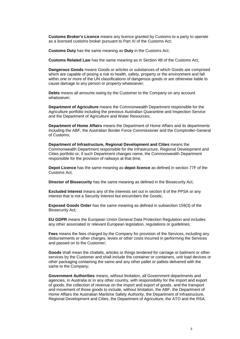**Customs Broker's Licence** means any licence granted by Customs to a party to operate as a licensed customs broker pursuant to Part XI of the Customs Act;

**Customs Duty** has the same meaning as **Duty** in the Customs Act;

**Customs Related Law** has the same meaning as in Section 4B of the Customs Act;

**Dangerous Goods** means Goods or articles or substances of which Goods are comprised which are capable of posing a risk to health, safety, property or the environment and fall within one or more of the UN classifications of dangerous goods or are otherwise liable to cause damage to any person or property whatsoever;

**Debts** means all amounts owing by the Customer to the Company on any account whatsoever;

**Department of Agriculture** means the Commonwealth Department responsible for the Agriculture portfolio including the previous Australian Quarantine and Inspection Service and the Department of Agriculture and Water Resources;

**Department of Home Affairs** means the Department of Home Affairs and its departments including the ABF, the Australian Border Force Commissioner and the Comptroller-General of Customs;

**Department of Infrastructure, Regional Development and Cities** means the Commonwealth Department responsible for the Infrastructure, Regional Development and Cities portfolio or, if such Department changes name, the Commonwealth Department responsible for the provision of railways at that time.

**Depot Licence** has the same meaning as **depot licence** as defined in section 77F of the Customs Act;

**Director of Biosecurity** has the same meaning as defined in the Biosecurity Act;

**Excluded Interest** means any of the interests set out in section 8 of the PPSA or any interest that is not a Security Interest but encumbers the Goods;

**Exposed Goods Order** has the same meaning as defined in subsection 159(3) of the Biosecurity Act;

**EU GDPR** means the European Union General Data Protection Regulation and includes any other associated or relevant European legislation, regulations or guidelines;

**Fees** means the fees charged by the Company for provision of the Services, including any disbursements or other charges, levies or other costs incurred in performing the Services and passed on to the Customer;

**Goods** shall mean the chattels, articles or things tendered for carriage or bailment or other services by the Customer and shall include the container or containers, unit load devices or other packaging containing the same and any other pallet or pallets delivered with the same to the Company;

**Government Authorities** means, without limitation, all Government departments and agencies, in Australia or in any other country, with responsibility for the import and export of goods, the collection of revenue on the import and export of goods, and the transport and movement of those goods to include, without limitation, the ABF, the Department of Home Affairs the Australian Maritime Safety Authority, the Department of Infrastructure, Regional Development and Cities, the Department of Agriculture, the ATO and the RSA;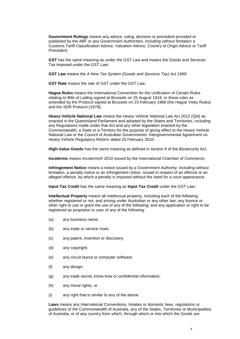**Government Rulings** means any advice, ruling, decision or precedent provided or published by the ABF or any Government Authorities, including without limitation a Customs Tariff Classification Advice, Valuation Advice, Country of Origin Advice or Tariff Precedent;

**GST** has the same meaning as under the GST Law and means the Goods and Services Tax imposed under the GST Law;

**GST Law** means the *A New Tax System (Goods and Services Tax) Act 1999*;

**GST Rate** means the rate of GST under the GST Law;

**Hague Rules** means the International Convention for the Unification of Certain Rules relating to Bills of Lading signed at Brussels on 25 August 1924, or those rules as amended by the Protocol signed at Brussels on 23 February 1968 (the Hague Visby Rules) and the SDR Protocol (1979);

**Heavy Vehicle National Law** means the *Heavy Vehicle National Law Act 2012* (Qld) as enacted in the Queensland Parliament and adopted by the States and Territories, including any Regulations made under that Act and any other legislation enacted by the Commonwealth, a State or a Territory for the purpose of giving effect to the Heavy Vehicle National Law or the Council of Australian Governments' Intergovernmental Agreement on Heavy Vehicle Regulatory Reform dated 25 February 2010;

**High-Value Goods** has the same meaning as defined in section 9 of the Biosecurity Act;

**Incoterms** means Incoterms® 2010 issued by the International Chamber of Commerce;

**Infringement Notice** means a notice issued by a Government Authority, including without limitation, a penalty notice or an infringement notice, issued in respect of an offence or an alleged offence, by which a penalty is imposed without the need for a court appearance;

**Input Tax Credit** has the same meaning as **Input Tax Credit** under the GST Law;

**Intellectual Property** means all intellectual property, including each of the following, whether registered or not, and arising under Australian or any other law; any licence or other right to use or grant the use of any of the following; and any application or right to be registered as proprietor or user of any of the following:

- (a) any business name;
- (b) any trade or service mark;
- (c) any patent, invention or discovery;
- (d) any copyright;
- (e) any circuit layout or computer software;
- (f) any design;
- (g) any trade secret, know-how or confidential information;
- (h) any moral rights; or
- (i) any right that is similar to any of the above.

**Laws** means any International Conventions, treaties or domestic laws, regulations or guidelines of the Commonwealth of Australia, any of the States, Territories or Municipalities of Australia, or of any country from which, through which or into which the Goods are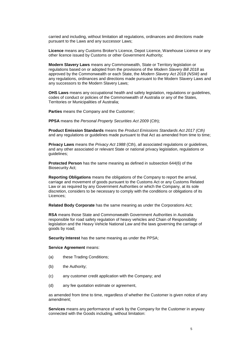carried and including, without limitation all regulations, ordinances and directions made pursuant to the Laws and any successor Laws;

**Licence** means any Customs Broker's Licence, Depot Licence, Warehouse Licence or any other licence issued by Customs or other Government Authority;

**Modern Slavery Laws** means any Commonwealth, State or Territory legislation or regulations based on or adopted from the provisions of the *Modern Slavery Bill 2018* as approved by the Commonwealth or each State, the *Modern Slavery Act 2018 (NSW)* and any regulations, ordinances and directions made pursuant to the Modern Slavery Laws and any successors to the Modern Slavery Laws;

**OHS Laws** means any occupational health and safety legislation, regulations or guidelines, codes of conduct or policies of the Commonwealth of Australia or any of the States, Territories or Municipalities of Australia;

**Parties** means the Company and the Customer;

**PPSA** means the *Personal Property Securities Act 2009* (Cth);

**Product Emission Standards** means the *Product Emissions Standards Act 2017 (Cth)* and any regulations or guidelines made pursuant to that Act as amended from time to time;

**Privacy Laws** means the *Privacy Act 1988* (Cth), all associated regulations or guidelines, and any other associated or relevant State or national privacy legislation, regulations or guidelines;

**Protected Person** has the same meaning as defined in subsection 644(6) of the Biosecurity Act;

**Reporting Obligations** means the obligations of the Company to report the arrival, carriage and movement of goods pursuant to the Customs Act or any Customs Related Law or as required by any Government Authorities or which the Company, at its sole discretion, considers to be necessary to comply with the conditions or obligations of its Licences;

**Related Body Corporate** has the same meaning as under the Corporations Act;

**RSA** means those State and Commonwealth Government Authorities in Australia responsible for road safety regulation of heavy vehicles and Chain of Responsibility legislation and the Heavy Vehicle National Law and the laws governing the carriage of goods by road;

**Security Interest** has the same meaning as under the PPSA;

**Service Agreement** means:

- (a) these Trading Conditions;
- (b) the Authority;
- (c) any customer credit application with the Company; and
- (d) any fee quotation estimate or agreement,

as amended from time to time, regardless of whether the Customer is given notice of any amendment;

**Services** means any performance of work by the Company for the Customer in anyway connected with the Goods including, without limitation: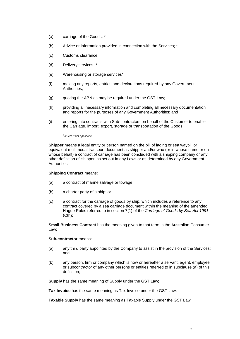- (a) carriage of the Goods; \*
- (b) Advice or information provided in connection with the Services; \*
- (c) Customs clearance;
- (d) Delivery services; \*
- (e) Warehousing or storage services\*
- (f) making any reports, entries and declarations required by any Government Authorities;
- (g) quoting the ABN as may be required under the GST Law;
- (h) providing all necessary information and completing all necessary documentation and reports for the purposes of any Government Authorities; and
- (i) entering into contracts with Sub-contractors on behalf of the Customer to enable the Carriage, import, export, storage or transportation of the Goods;

#### \**delete if not applicable*

**Shipper** means a legal entity or person named on the bill of lading or sea waybill or equivalent multimodal transport document as shipper and/or who (or in whose name or on whose behalf) a contract of carriage has been concluded with a shipping company or any other definition of 'shipper' as set out in any Laws or as determined by any Government Authorities;

#### **Shipping Contract** means:

- (a) a contract of marine salvage or towage;
- (b) a charter party of a ship; or
- (c) a contract for the carriage of goods by ship, which includes a reference to any contract covered by a sea carriage document within the meaning of the amended Hague Rules referred to in section 7(1) of the *Carriage of Goods by Sea Act 1991*  $(Cth)$ ;

**Small Business Contract** has the meaning given to that term in the Australian Consumer Law;

#### **Sub-contractor** means:

- (a) any third party appointed by the Company to assist in the provision of the Services; and
- (b) any person, firm or company which is now or hereafter a servant, agent, employee or subcontractor of any other persons or entities referred to in subclause (a) of this definition;

**Supply** has the same meaning of Supply under the GST Law;

**Tax Invoice** has the same meaning as Tax Invoice under the GST Law;

**Taxable Supply** has the same meaning as Taxable Supply under the GST Law;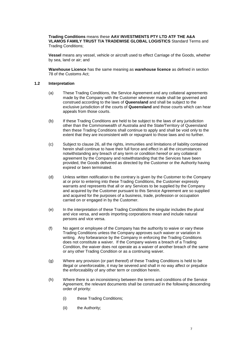**Trading Conditions** means these **AAV INVESTMENTS PTY LTD ATF THE A&A VLAMOS FAMILY TRUST T/A TRADEWISE GLOBAL LOGISTICS** Standard Terms and Trading Conditions;

**Vessel** means any vessel, vehicle or aircraft used to effect Carriage of the Goods, whether by sea, land or air; and

**Warehouse Licence** has the same meaning as **warehouse licence** as defined in section 78 of the Customs Act;

#### **1.2 Interpretation**

- (a) These Trading Conditions, the Service Agreement and any collateral agreements made by the Company with the Customer wherever made shall be governed and construed according to the laws of **Queensland** and shall be subject to the exclusive jurisdiction of the courts of **Queensland** and those courts which can hear appeals from those courts.
- (b) If these Trading Conditions are held to be subject to the laws of any jurisdiction other than the Commonwealth of Australia and the State/Territory of Queensland then these Trading Conditions shall continue to apply and shall be void only to the extent that they are inconsistent with or repugnant to those laws and no further.
- (c) Subject to clause [26,](#page-28-0) all the rights, immunities and limitations of liability contained herein shall continue to have their full force and effect in all the circumstances notwithstanding any breach of any term or condition hereof or any collateral agreement by the Company and notwithstanding that the Services have been provided, the Goods delivered as directed by the Customer or the Authority having expired or been terminated.
- (d) Unless written notification to the contrary is given by the Customer to the Company at or prior to entering into these Trading Conditions, the Customer expressly warrants and represents that all or any Services to be supplied by the Company and acquired by the Customer pursuant to this Service Agreement are so supplied and acquired for the purposes of a business, trade, profession or occupation carried on or engaged in by the Customer.
- (e) In the interpretation of these Trading Conditions the singular includes the plural and vice versa, and words importing corporations mean and include natural persons and vice versa.
- (f) No agent or employee of the Company has the authority to waive or vary these Trading Conditions unless the Company approves such waiver or variation in writing. Any forbearance by the Company in enforcing the Trading Conditions does not constitute a waiver. If the Company waives a breach of a Trading Condition, the waiver does not operate as a waiver of another breach of the same or any other Trading Condition or as a continuing waiver.
- (g) Where any provision (or part thereof) of these Trading Conditions is held to be illegal or unenforceable, it may be severed and shall in no way affect or prejudice the enforceability of any other term or condition herein.
- (h) Where there is an inconsistency between the terms and conditions of the Service Agreement, the relevant documents shall be construed in the following descending order of priority:
	- (i) these Trading Conditions;
	- (ii) the Authority;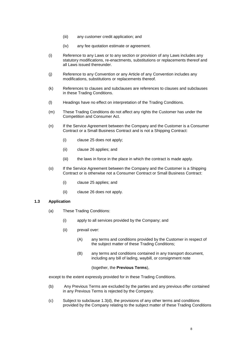- (iii) any customer credit application; and
- (iv) any fee quotation estimate or agreement.
- (i) Reference to any Laws or to any section or provision of any Laws includes any statutory modifications, re-enactments, substitutions or replacements thereof and all Laws issued thereunder.
- (j) Reference to any Convention or any Article of any Convention includes any modifications, substitutions or replacements thereof.
- (k) References to clauses and subclauses are references to clauses and subclauses in these Trading Conditions.
- (l) Headings have no effect on interpretation of the Trading Conditions.
- (m) These Trading Conditions do not affect any rights the Customer has under the Competition and Consumer Act.
- (n) If the Service Agreement between the Company and the Customer is a Consumer Contract or a Small Business Contract and is not a Shipping Contract:
	- (i) clause [25](#page-27-0) does not apply;
	- (ii) clause [26](#page-28-0) applies; and
	- (iii) the laws in force in the place in which the contract is made apply.
- (o) If the Service Agreement between the Company and the Customer is a Shipping Contract or is otherwise not a Consumer Contract or Small Business Contract:
	- (i) clause [25](#page-27-0) applies; and
	- (ii) clause [26](#page-28-0) does not apply.

#### **1.3 Application**

- (a) These Trading Conditions:
	- (i) apply to all services provided by the Company; and
	- (ii) prevail over:
		- (A) any terms and conditions provided by the Customer in respect of the subject matter of these Trading Conditions;
		- (B) any terms and conditions contained in any transport document, including any bill of lading, waybill, or consignment note

#### (together, the **Previous Terms**),

except to the extent expressly provided for in these Trading Conditions.

- (b) Any Previous Terms are excluded by the parties and any previous offer contained in any Previous Terms is rejected by the Company.
- (c) Subject to subclause [1.3\(d\),](#page-11-0) the provisions of any other terms and conditions provided by the Company relating to the subject matter of these Trading Conditions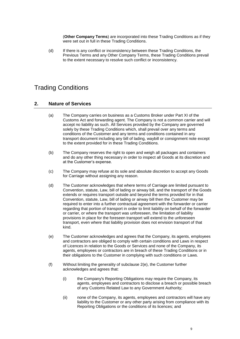(**Other Company Terms**) are incorporated into these Trading Conditions as if they were set out in full in these Trading Conditions.

<span id="page-11-0"></span>(d) If there is any conflict or inconsistency between these Trading Conditions, the Previous Terms and any Other Company Terms, these Trading Conditions prevail to the extent necessary to resolve such conflict or inconsistency.

# Trading Conditions

## **2. Nature of Services**

- (a) The Company carries on business as a Customs Broker under Part XI of the Customs Act and forwarding agent. The Company is not a common carrier and will accept no liability as such. All Services provided by the Company are governed solely by these Trading Conditions which, shall prevail over any terms and conditions of the Customer and any terms and conditions contained in any transport document including any bill of lading, waybill or consignment note except to the extent provided for in these Trading Conditions.
- (b) The Company reserves the right to open and weigh all packages and containers and do any other thing necessary in order to inspect all Goods at its discretion and at the Customer's expense.
- (c) The Company may refuse at its sole and absolute discretion to accept any Goods for Carriage without assigning any reason.
- (d) The Customer acknowledges that where terms of Carriage are limited pursuant to Convention, statute, Law, bill of lading or airway bill, and the transport of the Goods extends or requires transport outside and beyond the terms provided for in that Convention, statute, Law, bill of lading or airway bill then the Customer may be required to enter into a further contractual agreement with the forwarder or carrier regarding that portion of transport in order to limit liability on behalf of the forwarder or carrier, or where the transport was unforeseen, the limitation of liability provisions in place for the foreseen transport will extend to the unforeseen transport, even where that liability provision does not envision transport of that kind.
- <span id="page-11-1"></span>(e) The Customer acknowledges and agrees that the Company, its agents, employees and contractors are obliged to comply with certain conditions and Laws in respect of Licences in relation to the Goods or Services and none of the Company, its agents, employees or contractors are in breach of these Trading Conditions or in their obligations to the Customer in complying with such conditions or Laws.
- (f) Without limiting the generality of subclause [2\(e\),](#page-11-1) the Customer further acknowledges and agrees that:
	- (i) the Company's Reporting Obligations may require the Company, its agents, employees and contractors to disclose a breach or possible breach of any Customs Related Law to any Government Authority;
	- (ii) none of the Company, its agents, employees and contractors will have any liability to the Customer or any other party arising from compliance with its Reporting Obligations or the conditions of its licences; and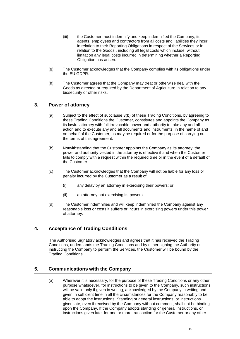- (iii) the Customer must indemnify and keep indemnified the Company, its agents, employees and contractors from all costs and liabilities they incur in relation to their Reporting Obligations in respect of the Services or in relation to the Goods , including all legal costs which include, without limitation any legal costs incurred in determining whether a Reporting Obligation has arisen.
- (g) The Customer acknowledges that the Company complies with its obligations under the EU GDPR.
- (h) The Customer agrees that the Company may treat or otherwise deal with the Goods as directed or required by the Department of Agriculture in relation to any biosecurity or other risks.

#### **3. Power of attorney**

- (a) Subject to the effect of subclause [3\(b\)](#page-12-0) of these Trading Conditions, by agreeing to these Trading Conditions the Customer, constitutes and appoints the Company as its lawful attorney with full irrevocable power and authority to take any and all action and to execute any and all documents and instruments, in the name of and on behalf of the Customer, as may be required or for the purpose of carrying out the terms of this agreement.
- <span id="page-12-0"></span>(b) Notwithstanding that the Customer appoints the Company as its attorney, the power and authority vested in the attorney is effective if and when the Customer fails to comply with a request within the required time or in the event of a default of the Customer.
- (c) The Customer acknowledges that the Company will not be liable for any loss or penalty incurred by the Customer as a result of:
	- (i) any delay by an attorney in exercising their powers; or
	- (ii) an attorney not exercising its powers.
- (d) The Customer indemnifies and will keep indemnified the Company against any reasonable loss or costs it suffers or incurs in exercising powers under this power of attorney.

#### **4. Acceptance of Trading Conditions**

The Authorised Signatory acknowledges and agrees that it has received the Trading Conditions, understands the Trading Conditions and by either signing the Authority or instructing the Company to perform the Services, the Customer will be bound by the Trading Conditions.

#### **5. Communications with the Company**

(a) Wherever it is necessary, for the purpose of these Trading Conditions or any other purpose whatsoever, for instructions to be given to the Company, such instructions will be valid only if given in writing, acknowledged by the Company in writing and given in sufficient time in all the circumstances for the Company reasonably to be able to adopt the instructions. Standing or general instructions, or instructions given late, even if received by the Company without comment, shall not be binding upon the Company. If the Company adopts standing or general instructions, or instructions given late, for one or more transaction for the Customer or any other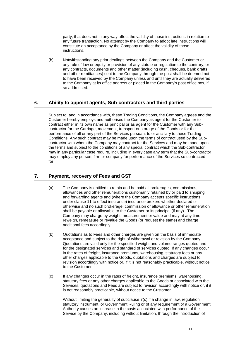party, that does not in any way affect the validity of those instructions in relation to any future transaction. No attempt by the Company to adopt late instructions will constitute an acceptance by the Company or affect the validity of those instructions.

(b) Notwithstanding any prior dealings between the Company and the Customer or any rule of law or equity or provision of any statute or regulation to the contrary, or any contracts, documents and other matter (including cash, cheques, bank drafts and other remittances) sent to the Company through the post shall be deemed not to have been received by the Company unless and until they are actually delivered to the Company at its office address or placed in the Company's post office box, if so addressed.

## <span id="page-13-2"></span>**6. Ability to appoint agents, Sub-contractors and third parties**

Subject to, and in accordance with, these Trading Conditions, the Company agrees and the Customer hereby employs and authorises the Company as agent for the Customer to contract either in its own name as principal or as agent for the Customer with any Subcontractor for the Carriage, movement, transport or storage of the Goods or for the performance of all or any part of the Services pursuant to or ancillary to these Trading Conditions. Any such contract may be made upon the terms of contract used by the Subcontractor with whom the Company may contract for the Services and may be made upon the terms and subject to the conditions of any special contract which the Sub-contractor may in any particular case require, including in every case any term that the Sub-contractor may employ any person, firm or company for performance of the Services so contracted for.

# <span id="page-13-1"></span>**7. Payment, recovery of Fees and GST**

- (a) The Company is entitled to retain and be paid all brokerages, commissions, allowances and other remunerations customarily retained by or paid to shipping and forwarding agents and (where the Company accepts specific instructions under clause [11](#page-20-0) to effect insurance) insurance brokers whether declared or otherwise and no such brokerage, commission or allowance or other remuneration shall be payable or allowable to the Customer or its principal (if any). The Company may charge by weight, measurement or value and may at any time reweigh, remeasure or revalue the Goods (or request the same) and charge additional fees accordingly.
- (b) Quotations as to Fees and other charges are given on the basis of immediate acceptance and subject to the right of withdrawal or revision by the Company. Quotations are valid only for the specified weight and volume ranges quoted and for the designated services and standard of services quoted. If any changes occur in the rates of freight, insurance premiums, warehousing, statutory fees or any other charges applicable to the Goods, quotations and charges are subject to revision accordingly with notice or, if it is not reasonably practicable, without notice to the Customer.
- <span id="page-13-0"></span>(c) If any changes occur in the rates of freight, insurance premiums, warehousing, statutory fees or any other charges applicable to the Goods or associated with the Services, quotations and Fees are subject to revision accordingly with notice or, if it is not reasonably practicable, without notice to the Customer.

Without limiting the generality of subclause [7\(c\)](#page-13-0) if a change in law, regulation, statutory instrument, or Government Ruling or of any requirement of a Government Authority causes an increase in the costs associated with performance of the Service by the Company, including without limitation, through the introduction of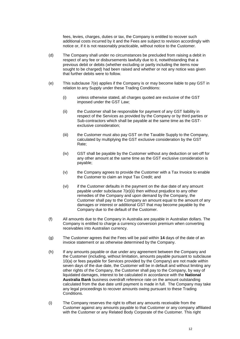fees, levies, charges, duties or tax, the Company is entitled to recover such additional costs incurred by it and the Fees are subject to revision accordingly with notice or, if it is not reasonably practicable, without notice to the Customer.

- (d) The Company shall under no circumstances be precluded from raising a debit in respect of any fee or disbursements lawfully due to it, notwithstanding that a previous debit or debits (whether excluding or partly including the items now sought to be charged) had been raised and whether or not any notice was given that further debits were to follow.
- <span id="page-14-1"></span><span id="page-14-0"></span>(e) This subclause [7\(e\)](#page-14-0) applies if the Company is or may become liable to pay GST in relation to any Supply under these Trading Conditions:
	- (i) unless otherwise stated, all charges quoted are exclusive of the GST imposed under the GST Law;
	- (ii) the Customer shall be responsible for payment of any GST liability in respect of the Services as provided by the Company or by third parties or Sub-contractors which shall be payable at the same time as the GSTexclusive consideration;
	- (iii) the Customer must also pay GST on the Taxable Supply to the Company, calculated by multiplying the GST exclusive consideration by the GST Rate;
	- (iv) GST shall be payable by the Customer without any deduction or set-off for any other amount at the same time as the GST exclusive consideration is payable;
	- (v) the Company agrees to provide the Customer with a Tax Invoice to enable the Customer to claim an Input Tax Credit; and
	- (vi) if the Customer defaults in the payment on the due date of any amount payable under subclause [7\(e\)\(ii\)](#page-14-1) then without prejudice to any other remedies of the Company and upon demand by the Company, the Customer shall pay to the Company an amount equal to the amount of any damages or interest or additional GST that may become payable by the Company due to the default of the Customer.
- (f) All amounts due to the Company in Australia are payable in Australian dollars. The Company is entitled to charge a currency conversion premium when converting receivables into Australian currency.
- (g) The Customer agrees that the Fees will be paid within **14** days of the date of an invoice statement or as otherwise determined by the Company.
- (h) If any amounts payable or due under any agreement between the Company and the Customer (including, without limitation, amounts payable pursuant to subclause [10\(a\)](#page-17-0) or fees payable for Services provided by the Company) are not made within seven days of the due date, the Customer will be in default and without limiting any other rights of the Company, the Customer shall pay to the Company, by way of liquidated damages, interest to be calculated in accordance with the **National Australia Bank** business overdraft reference rate on the amount outstanding calculated from the due date until payment is made in full. The Company may take any legal proceedings to recover amounts owing pursuant to these Trading Conditions.
- (i) The Company reserves the right to offset any amounts receivable from the Customer against any amounts payable to that Customer or any company affiliated with the Customer or any Related Body Corporate of the Customer. This right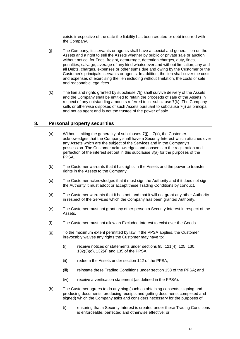exists irrespective of the date the liability has been created or debt incurred with the Company.

- <span id="page-15-0"></span>(j) The Company, its servants or agents shall have a special and general lien on the Assets and a right to sell the Assets whether by public or private sale or auction without notice, for Fees, freight, demurrage, detention charges, duty, fines, penalties, salvage, average of any kind whatsoever and without limitation, any and all Debts, charges, expenses or other sums due and owing by the Customer or the Customer's principals, servants or agents. In addition, the lien shall cover the costs and expenses of exercising the lien including without limitation, the costs of sale and reasonable legal fees.
- <span id="page-15-1"></span>(k) The lien and rights granted by subclause [7\(j\)](#page-15-0) shall survive delivery of the Assets and the Company shall be entitled to retain the proceeds of sale of the Assets in respect of any outstanding amounts referred to in subclause 7(k). The Company sells or otherwise disposes of such Assets pursuant to subclause [7\(j\)](#page-15-0) as principal and not as agent and is not the trustee of the power of sale.

#### <span id="page-15-2"></span>**8. Personal property securities**

- (a) Without limiting the generality of subclauses  $7(i) 7(k)$ , the Customer acknowledges that the Company shall have a Security Interest which attaches over any Assets which are the subject of the Services and in the Company's possession. The Customer acknowledges and consents to the registration and perfection of the interest set out in this subclause [8\(a\)](#page-15-2) for the purposes of the PPSA.
- (b) The Customer warrants that it has rights in the Assets and the power to transfer rights in the Assets to the Company.
- (c) The Customer acknowledges that it must sign the Authority and if it does not sign the Authority it must adopt or accept these Trading Conditions by conduct.
- (d) The Customer warrants that it has not, and that it will not grant any other Authority in respect of the Services which the Company has been granted Authority.
- (e) The Customer must not grant any other person a Security Interest in respect of the Assets.
- (f) The Customer must not allow an Excluded Interest to exist over the Goods.
- (g) To the maximum extent permitted by law, if the PPSA applies, the Customer irrevocably waives any rights the Customer may have to:
	- (i) receive notices or statements under sections 95, 121(4), 125, 130, 132(3)(d), 132(4) and 135 of the PPSA;
	- (ii) redeem the Assets under section 142 of the PPSA;
	- (iii) reinstate these Trading Conditions under section 153 of the PPSA; and
	- (iv) receive a verification statement (as defined in the PPSA).
- (h) The Customer agrees to do anything (such as obtaining consents, signing and producing documents, producing receipts and getting documents completed and signed) which the Company asks and considers necessary for the purposes of:
	- (i) ensuring that a Security Interest is created under these Trading Conditions is enforceable, perfected and otherwise effective; or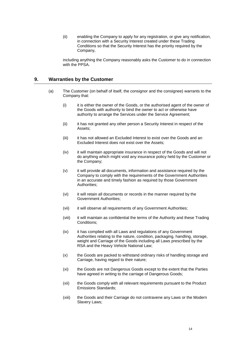(ii) enabling the Company to apply for any registration, or give any notification, in connection with a Security Interest created under these Trading Conditions so that the Security Interest has the priority required by the Company,

including anything the Company reasonably asks the Customer to do in connection with the PPSA.

#### <span id="page-16-0"></span>**9. Warranties by the Customer**

- (a) The Customer (on behalf of itself, the consignor and the consignee) warrants to the Company that:
	- (i) it is either the owner of the Goods, or the authorised agent of the owner of the Goods with authority to bind the owner to act or otherwise have authority to arrange the Services under the Service Agreement;
	- (ii) it has not granted any other person a Security Interest in respect of the Assets;
	- (iii) it has not allowed an Excluded Interest to exist over the Goods and an Excluded Interest does not exist over the Assets;
	- (iv) it will maintain appropriate insurance in respect of the Goods and will not do anything which might void any insurance policy held by the Customer or the Company;
	- (v) it will provide all documents, information and assistance required by the Company to comply with the requirements of the Government Authorities in an accurate and timely fashion as required by those Government Authorities;
	- (vi) it will retain all documents or records in the manner required by the Government Authorities;
	- (vii) it will observe all requirements of any Government Authorities;
	- (viii) it will maintain as confidential the terms of the Authority and these Trading Conditions;
	- (ix) it has complied with all Laws and regulations of any Government Authorities relating to the nature, condition, packaging, handling, storage, weight and Carriage of the Goods including all Laws prescribed by the RSA and the Heavy Vehicle National Law;
	- (x) the Goods are packed to withstand ordinary risks of handling storage and Carriage, having regard to their nature;
	- (xi) the Goods are not Dangerous Goods except to the extent that the Parties have agreed in writing to the carriage of Dangerous Goods;
	- (xii) the Goods comply with all relevant requirements pursuant to the Product Emissions Standards;
	- (xiii) the Goods and their Carriage do not contravene any Laws or the Modern Slavery Laws;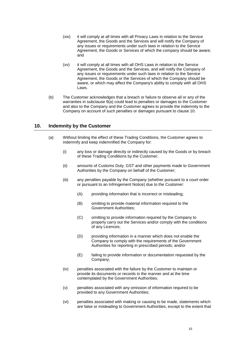- (xiv) it will comply at all times with all Privacy Laws in relation to the Service Agreement, the Goods and the Services and will notify the Company of any issues or requirements under such laws in relation to the Service Agreement, the Goods or Services of which the company should be aware; and
- (xv) it will comply at all times with all OHS Laws in relation to the Service Agreement, the Goods and the Services, and will notify the Company of any issues or requirements under such laws in relation to the Service Agreement, the Goods or the Services of which the Company should be aware, or which may affect the Company's ability to comply with all OHS Laws.
- (b) The Customer acknowledges that a breach or failure to observe all or any of the warranties in subclause [9\(a\)](#page-16-0) could lead to penalties or damages to the Customer and also to the Company and the Customer agrees to provide the indemnity to the Company on account of such penalties or damages pursuant to clause [10.](#page-17-1)

## <span id="page-17-1"></span><span id="page-17-0"></span>**10. Indemnity by the Customer**

- (a) Without limiting the effect of these Trading Conditions, the Customer agrees to indemnify and keep indemnified the Company for:
	- (i) any loss or damage directly or indirectly caused by the Goods or by breach of these Trading Conditions by the Customer;
	- (ii) amounts of Customs Duty, GST and other payments made to Government Authorities by the Company on behalf of the Customer;
	- (iii) any penalties payable by the Company (whether pursuant to a court order or pursuant to an Infringement Notice) due to the Customer:
		- (A) providing information that is incorrect or misleading;
		- (B) omitting to provide material information required to the Government Authorities;
		- (C) omitting to provide information required by the Company to properly carry out the Services and/or comply with the conditions of any Licences;
		- (D) providing information in a manner which does not enable the Company to comply with the requirements of the Government Authorities for reporting in prescribed periods; and/or
		- (E) failing to provide information or documentation requested by the Company;
	- (iv) penalties associated with the failure by the Customer to maintain or provide its documents or records in the manner and at the time contemplated by the Government Authorities;
	- (v) penalties associated with any omission of information required to be provided to any Government Authorities;
	- (vi) penalties associated with making or causing to be made, statements which are false or misleading to Government Authorities, except to the extent that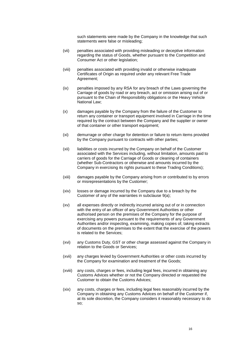such statements were made by the Company in the knowledge that such statements were false or misleading;

- (vii) penalties associated with providing misleading or deceptive information regarding the status of Goods, whether pursuant to the Competition and Consumer Act or other legislation;
- (viii) penalties associated with providing invalid or otherwise inadequate Certificates of Origin as required under any relevant Free Trade Agreement;
- (ix) penalties imposed by any RSA for any breach of the Laws governing the Carriage of goods by road or any breach, act or omission arising out of or pursuant to the Chain of Responsibility obligations or the Heavy Vehicle National Law;
- (x) damages payable by the Company from the failure of the Customer to return any container or transport equipment involved in Carriage in the time required by the contract between the Company and the supplier or owner of that container or other transport equipment;
- (xi) demurrage or other charge for detention or failure to return items provided by the Company pursuant to contracts with other parties;
- (xii) liabilities or costs incurred by the Company on behalf of the Customer associated with the Services including, without limitation, amounts paid to carriers of goods for the Carriage of Goods or cleaning of containers (whether Sub-Contractors or otherwise and amounts incurred by the Company in exercising its rights pursuant to these Trading Conditions);
- (xiii) damages payable by the Company arising from or contributed to by errors or misrepresentations by the Customer;
- (xiv) losses or damage incurred by the Company due to a breach by the Customer of any of the warranties in subclause [9\(a\);](#page-16-0)
- (xv) all expenses directly or indirectly incurred arising out of or in connection with the entry of an officer of any Government Authorities or other authorised person on the premises of the Company for the purpose of exercising any powers pursuant to the requirements of any Government Authorities and/or inspecting, examining, making copies of, taking extracts of documents on the premises to the extent that the exercise of the powers is related to the Services;
- (xvi) any Customs Duty, GST or other charge assessed against the Company in relation to the Goods or Services;
- (xvii) any charges levied by Government Authorities or other costs incurred by the Company for examination and treatment of the Goods;
- (xviii) any costs, charges or fees, including legal fees, incurred in obtaining any Customs Advices whether or not the Company directed or requested the Customer to obtain the Customs Advices;
- (xix) any costs, charges or fees, including legal fees reasonably incurred by the Company in obtaining any Customs Advices on behalf of the Customer if, at its sole discretion, the Company considers it reasonably necessary to do so;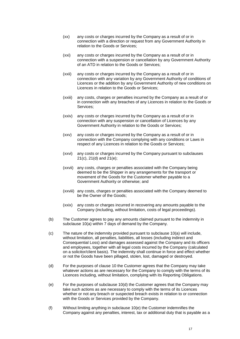- (xx) any costs or charges incurred by the Company as a result of or in connection with a direction or request from any Government Authority in relation to the Goods or Services;
- (xxi) any costs or charges incurred by the Company as a result of or in connection with a suspension or cancellation by any Government Authority of an ATD in relation to the Goods or Services;
- (xxii) any costs or charges incurred by the Company as a result of or in connection with any variation by any Government Authority of conditions of Licences or the addition by any Government Authority of new conditions on Licences in relation to the Goods or Services;
- (xxiii) any costs, charges or penalties incurred by the Company as a result of or in connection with any breaches of any Licences in relation to the Goods or Services;
- (xxiv) any costs or charges incurred by the Company as a result of or in connection with any suspension or cancellation of Licences by any Government Authority in relation to the Goods or Services;
- (xxv) any costs or charges incurred by the Company as a result of or in connection with the Company complying with any conditions or Laws in respect of any Licences in relation to the Goods or Services;
- (xxvi) any costs or charges incurred by the Company pursuant to subclauses [21\(c\),](#page-25-0) [21\(d\)](#page-25-1) and [21\(e\);](#page-25-2)
- (xxvii) any costs, charges or penalties associated with the Company being deemed to be the Shipper in any arrangements for the transport or movement of the Goods for the Customer whether payable to a Government Authority or otherwise; and
- (xxviii) any costs, charges or penalties associated with the Company deemed to be the Owner of the Goods;
- (xxix) any costs or charges incurred in recovering any amounts payable to the Company (including, without limitation, costs of legal proceedings).
- (b) The Customer agrees to pay any amounts claimed pursuant to the indemnity in subclause [10\(a\)](#page-17-0) within 7 days of demand by the Company.
- <span id="page-19-2"></span>(c) The nature of the indemnity provided pursuant to subclause [10\(a\)](#page-17-0) will include, without limitation, all penalties, liabilities, all losses (including indirect and Consequential Loss) and damages assessed against the Company and its officers and employees, together with all legal costs incurred by the Company (calculated on a solicitor/client basis). The indemnity shall continue in force and effect whether or not the Goods have been pillaged, stolen, lost, damaged or destroyed.
- <span id="page-19-0"></span>(d) For the purposes of clause [10](#page-17-1) the Customer agrees that the Company may take whatever actions as are necessary for the Company to comply with the terms of its Licences including, without limitation, complying with its Reporting Obligations.
- <span id="page-19-1"></span>(e) For the purposes of subclause [10\(d\)](#page-19-0) the Customer agrees that the Company may take such actions as are necessary to comply with the terms of its Licences whether or not any breach or suspected breach exists in relation to or connection with the Goods or Services provided by the Company.
- (f) Without limiting anything in subclause [10\(e\)](#page-19-1) the Customer indemnifies the Company against any penalties, interest, tax or additional duty that is payable as a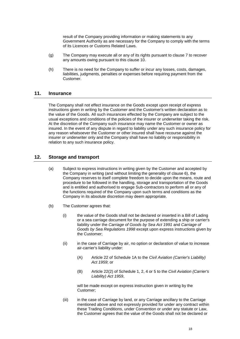result of the Company providing information or making statements to any Government Authority as are necessary for the Company to comply with the terms of its Licences or Customs Related Laws.

- (g) The Company may execute all or any of its rights pursuant to clause [7](#page-13-1) to recover any amounts owing pursuant to this clause [10.](#page-17-1)
- (h) There is no need for the Company to suffer or incur any losses, costs, damages, liabilities, judgments, penalties or expenses before requiring payment from the Customer.

#### <span id="page-20-0"></span>**11. Insurance**

The Company shall not effect insurance on the Goods except upon receipt of express instructions given in writing by the Customer and the Customer's written declaration as to the value of the Goods. All such insurances effected by the Company are subject to the usual exceptions and conditions of the policies of the insurer or underwriter taking the risk. At the discretion of the Company such insurance may name the Customer or owner as insured. In the event of any dispute in regard to liability under any such insurance policy for any reason whatsoever the Customer or other insured shall have recourse against the insurer or underwriter only and the Company shall have no liability or responsibility in relation to any such insurance policy.

#### <span id="page-20-1"></span>**12. Storage and transport**

- (a) Subject to express instructions in writing given by the Customer and accepted by the Company in writing (and without limiting the generality of clause [6\)](#page-13-2), the Company reserves to itself complete freedom to decide upon the means, route and procedure to be followed in the handling, storage and transportation of the Goods and is entitled and authorised to engage Sub-contractors to perform all or any of the functions required of the Company upon such terms and conditions as the Company in its absolute discretion may deem appropriate.
- (b) The Customer agrees that:
	- (i) the value of the Goods shall not be declared or inserted in a Bill of Lading or a sea carriage document for the purpose of extending a ship or carrier's liability under the *Carriage of Goods by Sea Act 1991* and *Carriage of Goods by Sea Regulations 1998* except upon express instructions given by the Customer;
	- (ii) in the case of Carriage by air, no option or declaration of value to increase air-carrier's liability under:
		- (A) Article 22 of Schedule 1A to the *Civil Aviation (Carrier's Liability) Act 1959*; or
		- (B) Article 22(2) of Schedule 1, 2, 4 or 5 to the *Civil Aviation (Carrier's Liability) Act 1959*,

will be made except on express instruction given in writing by the Customer;

(iii) in the case of Carriage by land, or any Carriage ancillary to the Carriage mentioned above and not expressly provided for under any contract within these Trading Conditions, under Convention or under any statute or Law, the Customer agrees that the value of the Goods shall not be declared or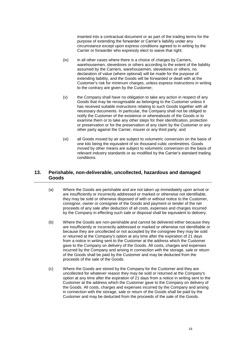inserted into a contractual document or as part of the trading terms for the purpose of extending the forwarder or Carrier's liability under any circumstance except upon express conditions agreed to in writing by the Carrier or forwarder who expressly elect to waive that right;

- (iv) in all other cases where there is a choice of charges by Carriers, warehousemen, stevedores or others according to the extent of the liability assumed by the Carriers, warehousemen, stevedores or others, no declaration of value (where optional) will be made for the purpose of extending liability, and the Goods will be forwarded or dealt with at the Customer's risk for minimum charges, unless express instructions in writing to the contrary are given by the Customer;
- (v) the Company shall have no obligation to take any action in respect of any Goods that may be recognisable as belonging to the Customer unless it has received suitable instructions relating to such Goods together with all necessary documents. In particular, the Company shall not be obliged to notify the Customer of the existence or whereabouts of the Goods or to examine them or to take any other steps for their identification, protection or preservation or for the preservation of any claim by the Customer or any other party against the Carrier, insurer or any third party; and
- (vi) all Goods moved by air are subject to volumetric conversion on the basis of one kilo being the equivalent of six thousand cubic centimetres. Goods moved by other means are subject to volumetric conversion on the basis of relevant industry standards or as modified by the Carrier's standard trading conditions.

# <span id="page-21-0"></span>**13. Perishable, non-deliverable, uncollected, hazardous and damaged Goods**

- (a) Where the Goods are perishable and are not taken up immediately upon arrival or are insufficiently or incorrectly addressed or marked or otherwise not identifiable, they may be sold or otherwise disposed of with or without notice to the Customer, consignor, owner or consignee of the Goods and payment or tender of the net proceeds of any sale after deduction of all costs, expenses and charges incurred by the Company in effecting such sale or disposal shall be equivalent to delivery.
- <span id="page-21-1"></span>(b) Where the Goods are non-perishable and cannot be delivered either because they are insufficiently or incorrectly addressed or marked or otherwise not identifiable or because they are uncollected or not accepted by the consignee they may be sold or returned at the Company's option at any time after the expiration of 21 days from a notice in writing sent to the Customer at the address which the Customer gave to the Company on delivery of the Goods. All costs, charges and expenses incurred by the Company and arising in connection with the storage, sale or return of the Goods shall be paid by the Customer and may be deducted from the proceeds of the sale of the Goods.
- <span id="page-21-2"></span>(c) Where the Goods are stored by the Company for the Customer and they are uncollected for whatever reason they may be sold or returned at the Company's option at any time after the expiration of 21 days from a notice in writing sent to the Customer at the address which the Customer gave to the Company on delivery of the Goods. All costs, charges and expenses incurred by the Company and arising in connection with the storage, sale or return of the Goods shall be paid by the Customer and may be deducted from the proceeds of the sale of the Goods.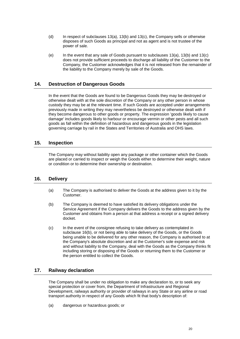- (d) In respect of subclauses  $13(a)$ ,  $13(b)$  and  $13(c)$ , the Company sells or otherwise disposes of such Goods as pri[ncipal a](#page-21-1)nd not as agent and is not trustee of the power of sale.
- (e) In the event that any sale of Goods pursuant to subclauses  $13(a)$ ,  $13(b)$  and  $13(c)$ does not provide sufficient proceeds to discharge all liability of the Customer to the Company, the Customer acknowledges that it is not released from the remainder of the liability to the Company merely by sale of the Goods.

#### **14. Destruction of Dangerous Goods**

In the event that the Goods are found to be Dangerous Goods they may be destroyed or otherwise dealt with at the sole discretion of the Company or any other person in whose custody they may be at the relevant time. If such Goods are accepted under arrangements previously made in writing they may nevertheless be destroyed or otherwise dealt with if they become dangerous to other goods or property. The expression 'goods likely to cause damage' includes goods likely to harbour or encourage vermin or other pests and all such goods as fall within the definition of hazardous and dangerous goods in the legislation governing carriage by rail in the States and Territories of Australia and OHS laws.

#### **15. Inspection**

The Company may without liability open any package or other container which the Goods are placed or carried to inspect or weigh the Goods either to determine their weight, nature or condition or to determine their ownership or destination.

#### **16. Delivery**

- (a) The Company is authorised to deliver the Goods at the address given to it by the Customer.
- <span id="page-22-0"></span>(b) The Company is deemed to have satisfied its delivery obligations under the Service Agreement if the Company delivers the Goods to the address given by the Customer and obtains from a person at that address a receipt or a signed delivery docket.
- (c) In the event of the consignee refusing to take delivery as contemplated in subclause 1[6\(b\),](#page-22-0) or not being able to take delivery of the Goods, or the Goods being unable to be delivered for any other reason, the Company is authorised to at the Company's absolute discretion and at the Customer's sole expense and risk and without liability to the Company, deal with the Goods as the Company thinks fit including storing or disposing of the Goods or returning them to the Customer or the person entitled to collect the Goods.

#### **17. Railway declaration**

The Company shall be under no obligation to make any declaration to, or to seek any special protection or cover from, the Department of Infrastructure and Regional Development, railways authority or provider of railways in any State or any airline or road transport authority in respect of any Goods which fit that body's description of:

(a) dangerous or hazardous goods; or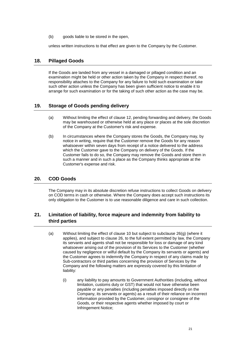(b) goods liable to be stored in the open,

unless written instructions to that effect are given to the Company by the Customer.

#### **18. Pillaged Goods**

If the Goods are landed from any vessel in a damaged or pillaged condition and an examination might be held or other action taken by the Company in respect thereof, no responsibility attaches to the Company for any failure to hold such examination or take such other action unless the Company has been given sufficient notice to enable it to arrange for such examination or for the taking of such other action as the case may be.

## **19. Storage of Goods pending delivery**

- (a) Without limiting the effect of clause [12,](#page-20-1) pending forwarding and delivery, the Goods may be warehoused or otherwise held at any place or places at the sole discretion of the Company at the Customer's risk and expense.
- (b) In circumstances where the Company stores the Goods, the Company may, by notice in writing, require that the Customer remove the Goods for any reason whatsoever within seven days from receipt of a notice delivered to the address which the Customer gave to the Company on delivery of the Goods. If the Customer fails to do so, the Company may remove the Goods and store them in such a manner and in such a place as the Company thinks appropriate at the Customer's expense and risk.

# <span id="page-23-0"></span>**20. COD Goods**

The Company may in its absolute discretion refuse instructions to collect Goods on delivery on COD terms in cash or otherwise. Where the Company does accept such instructions its only obligation to the Customer is to use reasonable diligence and care in such collection.

# <span id="page-23-1"></span>**21. Limitation of liability, force majeure and indemnity from liability to third parties**

- (a) Without limiting the effect of clause [10](#page-17-1) but subject to subclause [26\(g\)](#page-29-0) (where it applies), and subject to clause [26,](#page-28-0) to the full extent permitted by law, the Company its servants and agents shall not be responsible for loss or damage of any kind whatsoever arising out of the provision of its Services to the Customer (whether caused by negligence or wilful default by the Company its servants or agents) and the Customer agrees to indemnify the Company in respect of any claims made by Sub-contractors or third parties concerning the provision of Services by the Company and the following matters are expressly covered by this limitation of liability:
	- (i) any liability to pay amounts to Government Authorities (including, without limitation, customs duty or GST) that would not have otherwise been payable or any penalties (including penalties imposed directly on the Company, its servants or agents) as a result of their reliance on incorrect information provided by the Customer, consignor or consignee of the Goods, or their respective agents whether imposed by court or Infringement Notice;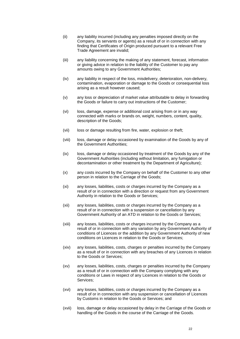- (ii) any liability incurred (including any penalties imposed directly on the Company, its servants or agents) as a result of or in connection with any finding that Certificates of Origin produced pursuant to a relevant Free Trade Agreement are invalid;
- (iii) any liability concerning the making of any statement, forecast, information or giving advice in relation to the liability of the Customer to pay any amounts owing to any Government Authorities;
- (iv) any liability in respect of the loss, misdelivery, deterioration, non-delivery, contamination, evaporation or damage to the Goods or consequential loss arising as a result however caused;
- (v) any loss or depreciation of market value attributable to delay in forwarding the Goods or failure to carry out instructions of the Customer;
- (vi) loss, damage, expense or additional cost arising from or in any way connected with marks or brands on, weight, numbers, content, quality, description of the Goods;
- (vii) loss or damage resulting from fire, water, explosion or theft;
- (viii) loss, damage or delay occasioned by examination of the Goods by any of the Government Authorities;
- (ix) loss, damage or delay occasioned by treatment of the Goods by any of the Government Authorities (including without limitation, any fumigation or decontamination or other treatment by the Department of Agriculture);
- (x) any costs incurred by the Company on behalf of the Customer to any other person in relation to the Carriage of the Goods;
- (xi) any losses, liabilities, costs or charges incurred by the Company as a result of or in connection with a direction or request from any Government Authority in relation to the Goods or Services;
- (xii) any losses, liabilities, costs or charges incurred by the Company as a result of or in connection with a suspension or cancellation by any Government Authority of an ATD in relation to the Goods or Services;
- (xiii) any losses, liabilities, costs or charges incurred by the Company as a result of or in connection with any variation by any Government Authority of conditions of Licences or the addition by any Government Authority of new conditions on Licences in relation to the Goods or Services;
- (xiv) any losses, liabilities, costs, charges or penalties incurred by the Company as a result of or in connection with any breaches of any Licences in relation to the Goods or Services;
- (xv) any losses, liabilities, costs, charges or penalties incurred by the Company as a result of or in connection with the Company complying with any conditions or Laws in respect of any Licences in relation to the Goods or Services;
- (xvi) any losses, liabilities, costs or charges incurred by the Company as a result of or in connection with any suspension or cancellation of Licences by Customs in relation to the Goods or Services; and
- (xvii) loss, damage or delay occasioned by delay in the Carriage of the Goods or handling of the Goods in the course of the Carriage of the Goods.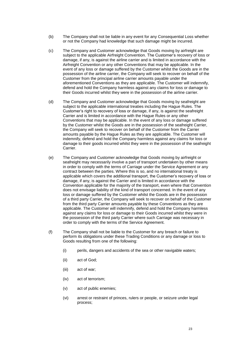- (b) The Company shall not be liable in any event for any Consequential Loss whether or not the Company had knowledge that such damage might be incurred.
- <span id="page-25-0"></span>(c) The Company and Customer acknowledge that Goods moving by airfreight are subject to the applicable Airfreight Convention. The Customer's recovery of loss or damage, if any, is against the airline carrier and is limited in accordance with the Airfreight Convention or any other Conventions that may be applicable. In the event of any loss or damage suffered by the Customer whilst the Goods are in the possession of the airline carrier, the Company will seek to recover on behalf of the Customer from the principal airline carrier amounts payable under the aforementioned Conventions as they are applicable. The Customer will indemnify, defend and hold the Company harmless against any claims for loss or damage to their Goods incurred whilst they were in the possession of the airline carrier.
- <span id="page-25-1"></span>(d) The Company and Customer acknowledge that Goods moving by seafreight are subject to the applicable international treaties including the Hague Rules. The Customer's right to recovery of loss or damage, if any, is against the seafreight Carrier and is limited in accordance with the Hague Rules or any other Conventions that may be applicable. In the event of any loss or damage suffered by the Customer whilst the Goods are in the possession of the seafreight Carrier, the Company will seek to recover on behalf of the Customer from the Carrier amounts payable by the Hague Rules as they are applicable. The Customer will indemnify, defend and hold the Company harmless against any claims for loss or damage to their goods incurred whilst they were in the possession of the seafreight Carrier.
- <span id="page-25-2"></span>(e) The Company and Customer acknowledge that Goods moving by airfreight or seafreight may necessarily involve a part of transport undertaken by other means in order to comply with the terms of Carriage under the Service Agreement or any contract between the parties. Where this is so, and no international treaty is applicable which covers the additional transport, the Customer's recovery of loss or damage, if any, is against the Carrier and is limited in accordance with the Convention applicable for the majority of the transport, even where that Convention does not envisage liability of the kind of transport concerned. In the event of any loss or damage suffered by the Customer whilst the Goods are in the possession of a third party Carrier, the Company will seek to recover on behalf of the Customer from the third party Carrier amounts payable by these Conventions as they are applicable. The Customer will indemnify, defend and hold the Company harmless against any claims for loss or damage to their Goods incurred whilst they were in the possession of the third party Carrier where such Carriage was necessary in order to comply with the terms of the Service Agreement.
- <span id="page-25-3"></span>(f) The Company shall not be liable to the Customer for any breach or failure to perform its obligations under these Trading Conditions or any damage or loss to Goods resulting from one of the following:
	- (i) perils, dangers and accidents of the sea or other navigable waters;
	- (ii) act of God;
	- (iii) act of war;
	- (iv) act of terrorism;
	- (v) act of public enemies;
	- (vi) arrest or restraint of princes, rulers or people, or seizure under legal process;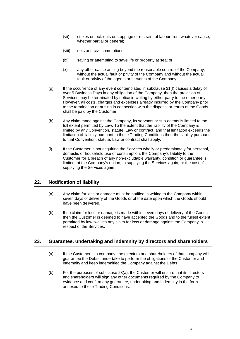- (vii) strikes or lock-outs or stoppage or restraint of labour from whatever cause, whether partial or general;
- (viii) riots and civil commotions;
- (ix) saving or attempting to save life or property at sea; or
- (x) any other cause arising beyond the reasonable control of the Company, without the actual fault or privity of the Company and without the actual fault or privity of the agents or servants of the Company.
- (g) If the occurrence of any event contemplated in subclause [21\(f\)](#page-25-3) causes a delay of over 5 Business Days in any obligation of the Company, then the provision of Services may be terminated by notice in writing by either party to the other party. However, all costs, charges and expenses already incurred by the Company prior to the termination or arising in connection with the disposal or return of the Goods shall be paid by the Customer.
- (h) Any claim made against the Company, its servants or sub-agents is limited to the full extent permitted by Law. To the extent that the liability of the Company is limited by any Convention, statute, Law or contract, and that limitation exceeds the limitation of liability pursuant to these Trading Conditions then the liability pursuant to that Convention, statute, Law or contract shall apply.
- (i) If the Customer is not acquiring the Services wholly or predominately for personal, domestic or household use or consumption, the Company's liability to the Customer for a breach of any non-excludable warranty, condition or guarantee is limited, at the Company's option, to supplying the Services again, or the cost of supplying the Services again.

# **22. Notification of liability**

- (a) Any claim for loss or damage must be notified in writing to the Company within seven days of delivery of the Goods or of the date upon which the Goods should have been delivered.
- (b) If no claim for loss or damage is made within seven days of delivery of the Goods then the Customer is deemed to have accepted the Goods and to the fullest extent permitted by law, waives any claim for loss or damage against the Company in respect of the Services.

#### <span id="page-26-0"></span>**23. Guarantee, undertaking and indemnity by directors and shareholders**

- (a) If the Customer is a company, the directors and shareholders of that company will guarantee the Debts, undertake to perform the obligations of the Customer and indemnify and keep indemnified the Company against the Debts.
- (b) For the purposes of subclause [23\(a\),](#page-26-0) the Customer will ensure that its directors and shareholders will sign any other documents required by the Company to evidence and confirm any guarantee, undertaking and indemnity in the form annexed to these Trading Conditions.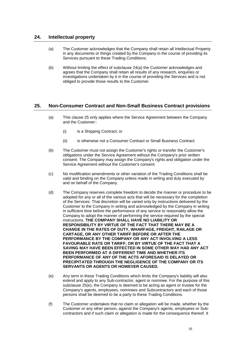## **24. Intellectual property**

- (a) The Customer acknowledges that the Company shall retain all Intellectual Property in any documents or things created by the Company in the course of providing its Services pursuant to these Trading Conditions;
- (b) Without limiting the effect of subclause 24(a) the Customer acknowledges and agrees that the Company shall retain all results of any research, enquiries or investigations undertaken by it in the course of providing the Services and is not obliged to provide those results to the Customer.

#### <span id="page-27-0"></span>**25. Non-Consumer Contract and Non-Small Business Contract provisions**

- (a) This clause [25](#page-27-0) only applies where the Service Agreement between the Company and the Customer::
	- (i) is a Shipping Contract; or
	- (ii) is otherwise not a Consumer Contract or Small Business Contract.
- (b) The Customer must not assign the Customer's rights or transfer the Customer's obligations under the Service Agreement without the Company's prior written consent. The Company may assign the Company's rights and obligation under the Service Agreement without the Customer's consent.
- (c) No modification amendments or other variation of the Trading Conditions shall be valid and binding on the Company unless made in writing and duly executed by and on behalf of the Company.
- (d) The Company reserves complete freedom to decide the manner or procedure to be adopted for any or all of the various acts that will be necessary for the completion of the Services. That discretion will be varied only by instructions delivered by the Customer to the Company in writing and acknowledged by the Company in writing in sufficient time before the performance of any service to reasonably allow the Company to adopt the manner of performing the service required by the special instructions. **THE COMPANY SHALL HAVE NO LIABILITY OR RESPONSIBILITY BY VIRTUE OF THE FACT THAT THERE MAY BE A CHANGE IN THE RATES OF DUTY, WHARFAGE, FREIGHT, RAILAGE OR CARTAGE, OR ANY OTHER TARIFF BEFORE OR AFTER THE PERFORMANCE BY THE COMPANY OR ANY ACT INVOLVING A LESS FAVOURABLE RATE OR TARIFF, OR BY VIRTUE OF THE FACT THAT A SAVING MAY HAVE BEEN EFFECTED IN SOME OTHER WAY HAD ANY ACT BEEN PERFORMED AT A DIFFERENT TIME AND WHETHER ITS PERFORMANCE OF ANY OF THE ACTS AFORESAID IS DELAYED OR PRECIPITATED THROUGH THE NEGLIGENCE OF THE COMPANY OR ITS SERVANTS OR AGENTS OR HOWEVER CAUSED.**
- <span id="page-27-1"></span>(e) Any term in these Trading Conditions which limits the Company's liability will also extend and apply to any Sub-contractor, agent or nominee. For the purpose of this subclause [25\(e\),](#page-27-1) the Company is deemed to be acting as agent or trustee for the Company's agents, employees, nominees and Subcontractors and each of those persons shall be deemed to be a party to these Trading Conditions.
- (f) The Customer undertakes that no claim or allegation will be made, whether by the Customer or any other person, against the Company's agents, employees or Subcontractors and if such claim or allegation is made for the consequence thereof. It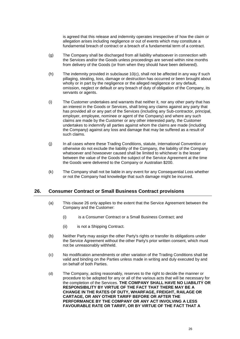is agreed that this release and indemnity operates irrespective of how the claim or allegation arises including negligence or out of events which may constitute a fundamental breach of contract or a breach of a fundamental term of a contract.

- (g) The Company shall be discharged from all liability whatsoever in connection with the Services and/or the Goods unless proceedings are served within nine months from delivery of the Goods (or from when they should have been delivered).
- (h) The indemnity provided in subclause [10\(c\),](#page-19-2) shall not be affected in any way if such pillaging, stealing, loss, damage or destruction has occurred or been brought about wholly or in part by the negligence or the alleged negligence or any default, omission, neglect or default or any breach of duty of obligation of the Company, its servants or agents.
- (i) The Customer undertakes and warrants that neither it, nor any other party that has an interest in the Goods or Services, shall bring any claims against any party that has provided all or any part of the Services (including any Sub-contractor, principal, employer, employee, nominee or agent of the Company) and where any such claims are made by the Customer or any other interested party, the Customer undertakes to indemnify all parties against whom the claims are made (including the Company) against any loss and damage that may be suffered as a result of such claims.
- (j) In all cases where these Trading Conditions, statute, international Convention or otherwise do not exclude the liability of the Company, the liability of the Company whatsoever and howsoever caused shall be limited to whichever is the lesser between the value of the Goods the subject of the Service Agreement at the time the Goods were delivered to the Company or Australian \$200.
- (k) The Company shall not be liable in any event for any Consequential Loss whether or not the Company had knowledge that such damage might be incurred.

#### <span id="page-28-0"></span>**26. Consumer Contract or Small Business Contract provisions**

- (a) This clause [26](#page-28-0) only applies to the extent that the Service Agreement between the Company and the Customer:
	- (i) is a Consumer Contract or a Small Business Contract; and
	- (ii) is not a Shipping Contract.
- (b) Neither Party may assign the other Party's rights or transfer its obligations under the Service Agreement without the other Party's prior written consent, which must not be unreasonably withheld.
- (c) No modification amendments or other variation of the Trading Conditions shall be valid and binding on the Parties unless made in writing and duly executed by and on behalf of both Parties.
- (d) The Company, acting reasonably, reserves to the right to decide the manner or procedure to be adopted for any or all of the various acts that will be necessary for the completion of the Services. **THE COMPANY SHALL HAVE NO LIABILITY OR RESPONSIBILITY BY VIRTUE OF THE FACT THAT THERE MAY BE A CHANGE IN THE RATES OF DUTY, WHARFAGE, FREIGHT, RAILAGE OR CARTAGE, OR ANY OTHER TARIFF BEFORE OR AFTER THE PERFORMANCE BY THE COMPANY OR ANY ACT INVOLVING A LESS FAVOURABLE RATE OR TARIFF, OR BY VIRTUE OF THE FACT THAT A**